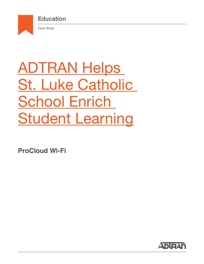

# ADTRAN Helps St. Luke Catholic **School Enrich Student Learning**

**ProCloud Wi-Fi**

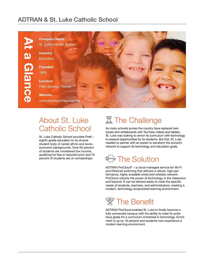### ADTRAN & St. Luke Catholic School



## About St. Luke Catholic School

St. Luke Catholic School provides PreK – eighth-grade education to its diverse student body of varied ethnic and socioeconomic backgrounds. Over 65 percent of students are considered low income, qualifying for free or reduced lunch and 70 percent of students are on scholarships.

## **置 The Challenge**

As many schools across the country have replaced textbooks and whiteboards with YouTube videos and tablets, St. Luke was looking to enrich its curriculum with technology to expand opportunities for its students. But first, St. Luke needed to partner with an expert to transform the school's network to support its technology and education goals.



ADTRAN ProCloud® – a cloud-managed service for Wi-Fi and Ethernet switching that delivers a robust, high-performance, highly available wired and wireless network. ProCloud unlocks the power of technology in the classroom and beyond. It can be tailored easily to meet the specific needs of students, teachers, and administrators, creating a modern, technology-empowered learning environment.



ADTRAN ProCloud enabled St. Luke to finally become a fully connected campus with the ability to meet its ambitious goals for a curriculum immersed in technology. Enrollment is up by 18 percent and students now experience a modern learning environment.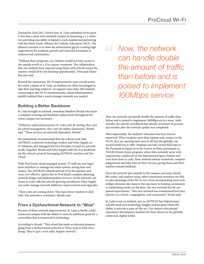During the 2016-2017 school year, St. Luke embarked on its quest to become a more tech-oriented campus by launching a 1:1 initiative providing one tablet or laptop to each student and partnering with the Notre Dame Alliance for Catholic Education (ACE). The alliance's mission is to close the achievement gap by creating high expectations for academic growth and character formation in underserved communities.

"Without these programs, our children would not have access to the outside world or a 21st century viewpoint. The collaboration that our students have enjoyed using Skype with schools across the country would all be lost learning opportunities," Principal Diann Bacchus said.

Beyond the classrooms, Wi-Fi improvements were crucial across the entire campus at St. Luke, as students are often encouraged to take their learning outdoors. To support more than 200 students connecting to the Wi-Fi simultaneously, school administrators quickly realized that a much stronger network was needed.

#### **Building a Better Backbone**

St. Luke brought in network consultant Matthew Brunk who knew a complete rewiring and hardware replacement throughout the entire campus was necessary.

"Without a solid infrastructure, St. Luke can't do testing, they can't do school management, they can't do online classrooms," Brunk said. "These services are network dependent. Period."

He immediately recommended that the school work with ADTRAN, a network technology vendor, and Pulse Supply, an IT Solutions and Managed Services Provider, to meet its network needs. Together, Brunk and Pulse Supply built the new backbone for the school's network leveraging ADTRAN switches and Pro-Cloud.

With ProCloud's cloud-managed system, IT staff can now login from anywhere to manage the entire system, saving time and money. The ADTRAN solution proved to be the quickest and most cost-effective option due to ProCloud's complete planning, network design and implementation services. As the network continues to scale with the school's growing enrollment, Pulse Supply can easily manage network additions, improvements and upgrades.

"Their costs are coming down. They have fewer vendors to deal with. The network is consistent," Brunk said.

#### **From a Dysfunctional Network to "Wow"**

Because of these network improvements, St. Luke is finally a fully connected campus with the ability to meet its ambitious goals for a curriculum that is immersed in technology.

According to Brunk, "This school has made accelerated progress, going from a dysfunctional network to 'Wow, look at what we're doing.' They've got a rock solid, hoppin' network."

*Now, the network can handle double the amount of traffic than before and is poised to implement 100Mbps service*

Now, the network can handle double the amount of traffic than before and is poised to implement 100Mbps service soon. Additionally, the school's enrollment has already increased 18 percent, just months after the network update was completed.

Most importantly, the students' education has been forever improved. When students open their laptops and connect to the Wi-Fi, they are opening their eyes to all that the globally connected world has to offer. Students can take virtual field trips to the Pyramids in Egypt or to the Louvre in Paris, participate in NASA's Orion's Quest program, where they remotely assist with experiments conducted on the International Space Station and even learn how to code. Now, students almost exclusively complete assignments and take tests on their devices, giving them and their teachers instant feedback.

Since the network also extends to the campus sanctuary, family life center, and outdoor areas, other community members are able to take advantage of the Wi-Fi, too. From incorporating more technology elements into mass in the sanctuary to holding community or fundraising events on the lawn, the new network has far surpassed expectations. "This new network has transformed how they operate as a school, congregation, and community," Brunk said.

St. Luke is not an isolated case, as ADTRAN has helped many schools reach new technology heights and has given them the ability to provide a state-of-the-art, 21st century educational experience that prepares students for their futures in the globally connected, digital world.